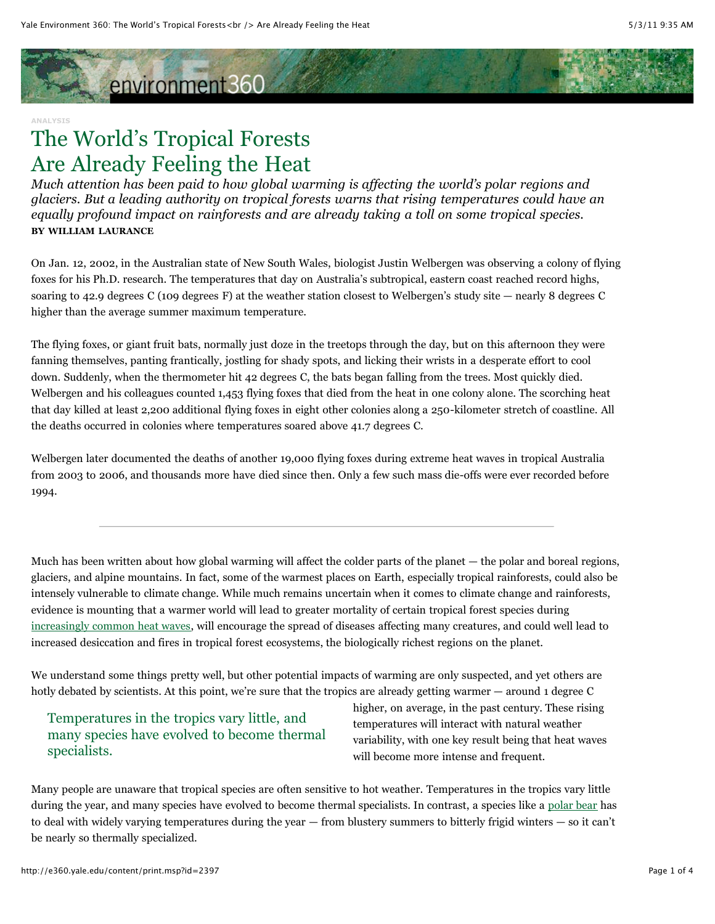# environment360

#### **ANALYSIS**

## The World's Tropical Forests Are Already Feeling the Heat

*Much attention has been paid to how global warming is affecting the world's polar regions and glaciers. But a leading authority on tropical forests warns that rising temperatures could have an equally profound impact on rainforests and are already taking a toll on some tropical species.* **BY WILLIAM LAURANCE**

On Jan. 12, 2002, in the Australian state of New South Wales, biologist Justin Welbergen was observing a colony of flying foxes for his Ph.D. research. The temperatures that day on Australia's subtropical, eastern coast reached record highs, soaring to 42.9 degrees C (109 degrees F) at the weather station closest to Welbergen's study site — nearly 8 degrees C higher than the average summer maximum temperature.

The flying foxes, or giant fruit bats, normally just doze in the treetops through the day, but on this afternoon they were fanning themselves, panting frantically, jostling for shady spots, and licking their wrists in a desperate effort to cool down. Suddenly, when the thermometer hit 42 degrees C, the bats began falling from the trees. Most quickly died. Welbergen and his colleagues counted 1,453 flying foxes that died from the heat in one colony alone. The scorching heat that day killed at least 2,200 additional flying foxes in eight other colonies along a 250-kilometer stretch of coastline. All the deaths occurred in colonies where temperatures soared above 41.7 degrees C.

Welbergen later documented the deaths of another 19,000 flying foxes during extreme heat waves in tropical Australia from 2003 to 2006, and thousands more have died since then. Only a few such mass die-offs were ever recorded before 1994.

Much has been written about how global warming will affect the colder parts of the planet — the polar and boreal regions, glaciers, and alpine mountains. In fact, some of the warmest places on Earth, especially tropical rainforests, could also be intensely vulnerable to climate change. While much remains uncertain when it comes to climate change and rainforests, evidence is mounting that a warmer world will lead to greater mortality of certain tropical forest species during [increasingly common heat waves](http://e360.yale.edu/feature/whats_with_the_weather_is_climate_change_to_blame/2388/), will encourage the spread of diseases affecting many creatures, and could well lead to increased desiccation and fires in tropical forest ecosystems, the biologically richest regions on the planet.

We understand some things pretty well, but other potential impacts of warming are only suspected, and yet others are hotly debated by scientists. At this point, we're sure that the tropics are already getting warmer — around 1 degree C

## Temperatures in the tropics vary little, and many species have evolved to become thermal specialists.

higher, on average, in the past century. These rising temperatures will interact with natural weather variability, with one key result being that heat waves will become more intense and frequent.

Many people are unaware that tropical species are often sensitive to hot weather. Temperatures in the tropics vary little during the year, and many species have evolved to become thermal specialists. In contrast, a species like a [polar bear](http://e360.yale.edu/feature/climate_threat_to_polar_bears_despite_facts_doubters_remain/2161/) has to deal with widely varying temperatures during the year — from blustery summers to bitterly frigid winters — so it can't be nearly so thermally specialized.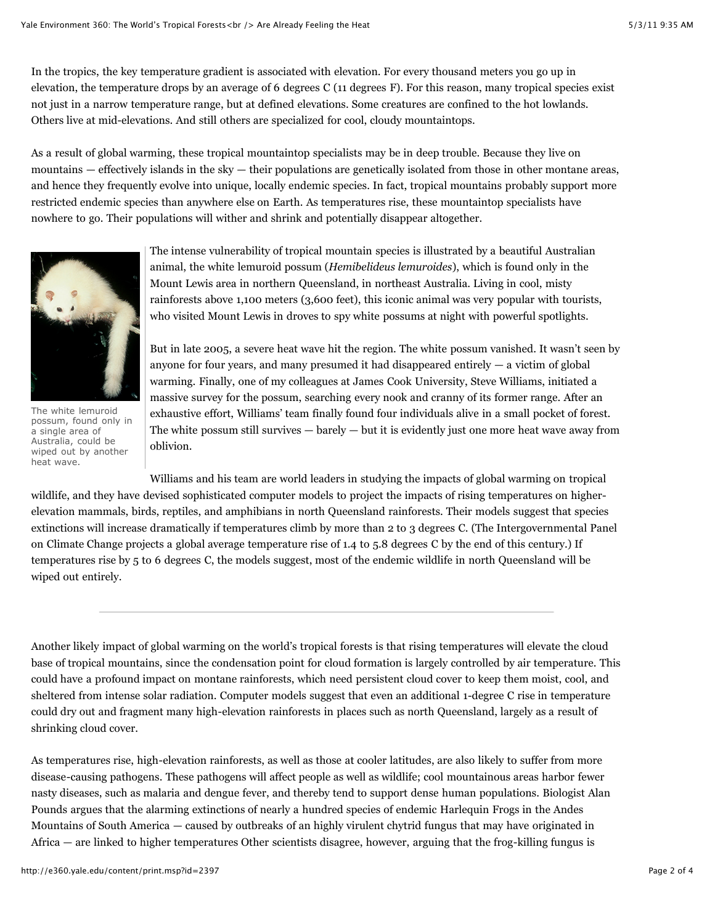In the tropics, the key temperature gradient is associated with elevation. For every thousand meters you go up in elevation, the temperature drops by an average of 6 degrees C (11 degrees F). For this reason, many tropical species exist not just in a narrow temperature range, but at defined elevations. Some creatures are confined to the hot lowlands. Others live at mid-elevations. And still others are specialized for cool, cloudy mountaintops.

As a result of global warming, these tropical mountaintop specialists may be in deep trouble. Because they live on mountains  $-$  effectively islands in the sky  $-$  their populations are genetically isolated from those in other montane areas, and hence they frequently evolve into unique, locally endemic species. In fact, tropical mountains probably support more restricted endemic species than anywhere else on Earth. As temperatures rise, these mountaintop specialists have nowhere to go. Their populations will wither and shrink and potentially disappear altogether.



The white lemuroid possum, found only in a single area of Australia, could be wiped out by another heat wave.

The intense vulnerability of tropical mountain species is illustrated by a beautiful Australian animal, the white lemuroid possum (*Hemibelideus lemuroides*), which is found only in the Mount Lewis area in northern Queensland, in northeast Australia. Living in cool, misty rainforests above 1,100 meters (3,600 feet), this iconic animal was very popular with tourists, who visited Mount Lewis in droves to spy white possums at night with powerful spotlights.

But in late 2005, a severe heat wave hit the region. The white possum vanished. It wasn't seen by anyone for four years, and many presumed it had disappeared entirely  $-$  a victim of global warming. Finally, one of my colleagues at James Cook University, Steve Williams, initiated a massive survey for the possum, searching every nook and cranny of its former range. After an exhaustive effort, Williams' team finally found four individuals alive in a small pocket of forest. The white possum still survives  $-$  barely  $-$  but it is evidently just one more heat wave away from oblivion.

Williams and his team are world leaders in studying the impacts of global warming on tropical wildlife, and they have devised sophisticated computer models to project the impacts of rising temperatures on higherelevation mammals, birds, reptiles, and amphibians in north Queensland rainforests. Their models suggest that species extinctions will increase dramatically if temperatures climb by more than 2 to 3 degrees C. (The Intergovernmental Panel on Climate Change projects a global average temperature rise of 1.4 to 5.8 degrees C by the end of this century.) If temperatures rise by 5 to 6 degrees C, the models suggest, most of the endemic wildlife in north Queensland will be wiped out entirely.

Another likely impact of global warming on the world's tropical forests is that rising temperatures will elevate the cloud base of tropical mountains, since the condensation point for cloud formation is largely controlled by air temperature. This could have a profound impact on montane rainforests, which need persistent cloud cover to keep them moist, cool, and sheltered from intense solar radiation. Computer models suggest that even an additional 1-degree C rise in temperature could dry out and fragment many high-elevation rainforests in places such as north Queensland, largely as a result of shrinking cloud cover.

As temperatures rise, high-elevation rainforests, as well as those at cooler latitudes, are also likely to suffer from more disease-causing pathogens. These pathogens will affect people as well as wildlife; cool mountainous areas harbor fewer nasty diseases, such as malaria and dengue fever, and thereby tend to support dense human populations. Biologist Alan Pounds argues that the alarming extinctions of nearly a hundred species of endemic Harlequin Frogs in the Andes Mountains of South America — caused by outbreaks of an highly virulent chytrid fungus that may have originated in Africa — are linked to higher temperatures Other scientists disagree, however, arguing that the frog-killing fungus is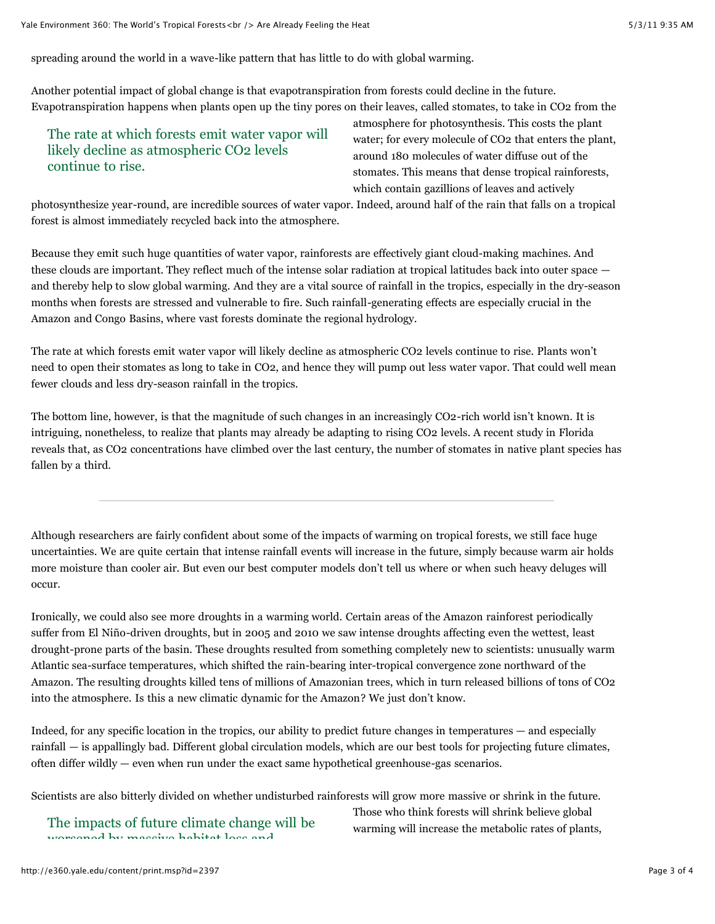spreading around the world in a wave-like pattern that has little to do with global warming.

Another potential impact of global change is that evapotranspiration from forests could decline in the future. Evapotranspiration happens when plants open up the tiny pores on their leaves, called stomates, to take in CO2 from the

## The rate at which forests emit water vapor will likely decline as atmospheric CO2 levels continue to rise.

atmosphere for photosynthesis. This costs the plant water; for every molecule of CO2 that enters the plant, around 180 molecules of water diffuse out of the stomates. This means that dense tropical rainforests, which contain gazillions of leaves and actively

photosynthesize year-round, are incredible sources of water vapor. Indeed, around half of the rain that falls on a tropical forest is almost immediately recycled back into the atmosphere.

Because they emit such huge quantities of water vapor, rainforests are effectively giant cloud-making machines. And these clouds are important. They reflect much of the intense solar radiation at tropical latitudes back into outer space and thereby help to slow global warming. And they are a vital source of rainfall in the tropics, especially in the dry-season months when forests are stressed and vulnerable to fire. Such rainfall-generating effects are especially crucial in the Amazon and Congo Basins, where vast forests dominate the regional hydrology.

The rate at which forests emit water vapor will likely decline as atmospheric CO2 levels continue to rise. Plants won't need to open their stomates as long to take in CO2, and hence they will pump out less water vapor. That could well mean fewer clouds and less dry-season rainfall in the tropics.

The bottom line, however, is that the magnitude of such changes in an increasingly CO2-rich world isn't known. It is intriguing, nonetheless, to realize that plants may already be adapting to rising CO2 levels. A recent study in Florida reveals that, as CO2 concentrations have climbed over the last century, the number of stomates in native plant species has fallen by a third.

Although researchers are fairly confident about some of the impacts of warming on tropical forests, we still face huge uncertainties. We are quite certain that intense rainfall events will increase in the future, simply because warm air holds more moisture than cooler air. But even our best computer models don't tell us where or when such heavy deluges will occur.

Ironically, we could also see more droughts in a warming world. Certain areas of the Amazon rainforest periodically suffer from El Niño-driven droughts, but in 2005 and 2010 we saw intense droughts affecting even the wettest, least drought-prone parts of the basin. These droughts resulted from something completely new to scientists: unusually warm Atlantic sea-surface temperatures, which shifted the rain-bearing inter-tropical convergence zone northward of the Amazon. The resulting droughts killed tens of millions of Amazonian trees, which in turn released billions of tons of CO2 into the atmosphere. Is this a new climatic dynamic for the Amazon? We just don't know.

Indeed, for any specific location in the tropics, our ability to predict future changes in temperatures — and especially rainfall — is appallingly bad. Different global circulation models, which are our best tools for projecting future climates, often differ wildly — even when run under the exact same hypothetical greenhouse-gas scenarios.

Scientists are also bitterly divided on whether undisturbed rainforests will grow more massive or shrink in the future.

The impacts of future climate change will be worsened by massive habitat loss and

Those who think forests will shrink believe global warming will increase the metabolic rates of plants,